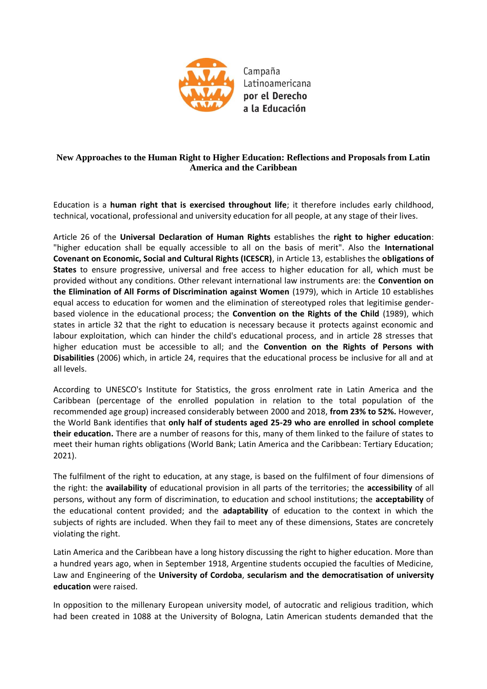

Campaña Latinoamericana por el Derecho a la Educación

## **New Approaches to the Human Right to Higher Education: Reflections and Proposals from Latin America and the Caribbean**

Education is a **human right that is exercised throughout life**; it therefore includes early childhood, technical, vocational, professional and university education for all people, at any stage of their lives.

Article 26 of the **Universal Declaration of Human Rights** establishes the **right to higher education**: "higher education shall be equally accessible to all on the basis of merit". Also the **International Covenant on Economic, Social and Cultural Rights (ICESCR)**, in Article 13, establishes the **obligations of States** to ensure progressive, universal and free access to higher education for all, which must be provided without any conditions. Other relevant international law instruments are: the **Convention on the Elimination of All Forms of Discrimination against Women** (1979), which in Article 10 establishes equal access to education for women and the elimination of stereotyped roles that legitimise genderbased violence in the educational process; the **Convention on the Rights of the Child** (1989), which states in article 32 that the right to education is necessary because it protects against economic and labour exploitation, which can hinder the child's educational process, and in article 28 stresses that higher education must be accessible to all; and the **Convention on the Rights of Persons with Disabilities** (2006) which, in article 24, requires that the educational process be inclusive for all and at all levels.

According to UNESCO's Institute for Statistics, the gross enrolment rate in Latin America and the Caribbean (percentage of the enrolled population in relation to the total population of the recommended age group) increased considerably between 2000 and 2018, **from 23% to 52%.** However, the World Bank identifies that **only half of students aged 25-29 who are enrolled in school complete their education.** There are a number of reasons for this, many of them linked to the failure of states to meet their human rights obligations (World Bank; Latin America and the Caribbean: Tertiary Education; 2021).

The fulfilment of the right to education, at any stage, is based on the fulfilment of four dimensions of the right: the **availability** of educational provision in all parts of the territories; the **accessibility** of all persons, without any form of discrimination, to education and school institutions; the **acceptability** of the educational content provided; and the **adaptability** of education to the context in which the subjects of rights are included. When they fail to meet any of these dimensions, States are concretely violating the right.

Latin America and the Caribbean have a long history discussing the right to higher education. More than a hundred years ago, when in September 1918, Argentine students occupied the faculties of Medicine, Law and Engineering of the **University of Cordoba**, **secularism and the democratisation of university education** were raised.

In opposition to the millenary European university model, of autocratic and religious tradition, which had been created in 1088 at the University of Bologna, Latin American students demanded that the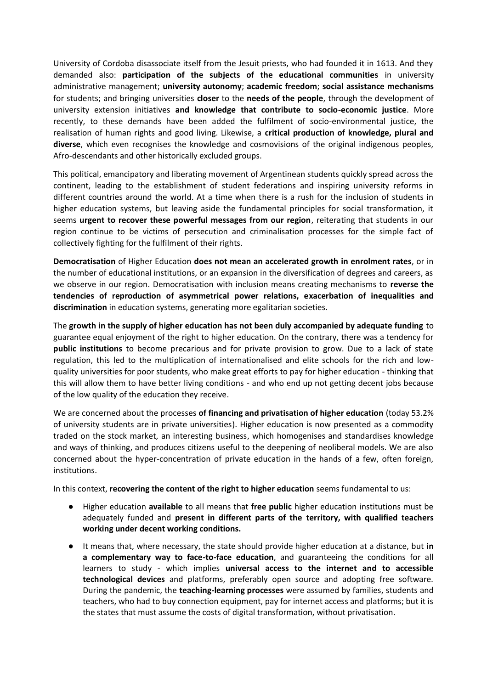University of Cordoba disassociate itself from the Jesuit priests, who had founded it in 1613. And they demanded also: **participation of the subjects of the educational communities** in university administrative management; **university autonomy**; **academic freedom**; **social assistance mechanisms** for students; and bringing universities **closer** to the **needs of the people**, through the development of university extension initiatives **and knowledge that contribute to socio-economic justice**. More recently, to these demands have been added the fulfilment of socio-environmental justice, the realisation of human rights and good living. Likewise, a **critical production of knowledge, plural and diverse**, which even recognises the knowledge and cosmovisions of the original indigenous peoples, Afro-descendants and other historically excluded groups.

This political, emancipatory and liberating movement of Argentinean students quickly spread across the continent, leading to the establishment of student federations and inspiring university reforms in different countries around the world. At a time when there is a rush for the inclusion of students in higher education systems, but leaving aside the fundamental principles for social transformation, it seems **urgent to recover these powerful messages from our region**, reiterating that students in our region continue to be victims of persecution and criminalisation processes for the simple fact of collectively fighting for the fulfilment of their rights.

**Democratisation** of Higher Education **does not mean an accelerated growth in enrolment rates**, or in the number of educational institutions, or an expansion in the diversification of degrees and careers, as we observe in our region. Democratisation with inclusion means creating mechanisms to **reverse the tendencies of reproduction of asymmetrical power relations, exacerbation of inequalities and discrimination** in education systems, generating more egalitarian societies.

The **growth in the supply of higher education has not been duly accompanied by adequate funding** to guarantee equal enjoyment of the right to higher education. On the contrary, there was a tendency for **public institutions** to become precarious and for private provision to grow. Due to a lack of state regulation, this led to the multiplication of internationalised and elite schools for the rich and lowquality universities for poor students, who make great efforts to pay for higher education - thinking that this will allow them to have better living conditions - and who end up not getting decent jobs because of the low quality of the education they receive.

We are concerned about the processes **of financing and privatisation of higher education** (today 53.2% of university students are in private universities). Higher education is now presented as a commodity traded on the stock market, an interesting business, which homogenises and standardises knowledge and ways of thinking, and produces citizens useful to the deepening of neoliberal models. We are also concerned about the hyper-concentration of private education in the hands of a few, often foreign, institutions.

In this context, **recovering the content of the right to higher education** seems fundamental to us:

- Higher education **available** to all means that **free public** higher education institutions must be adequately funded and **present in different parts of the territory, with qualified teachers working under decent working conditions.**
- It means that, where necessary, the state should provide higher education at a distance, but **in a complementary way to face-to-face education**, and guaranteeing the conditions for all learners to study - which implies **universal access to the internet and to accessible technological devices** and platforms, preferably open source and adopting free software. During the pandemic, the **teaching-learning processes** were assumed by families, students and teachers, who had to buy connection equipment, pay for internet access and platforms; but it is the states that must assume the costs of digital transformation, without privatisation.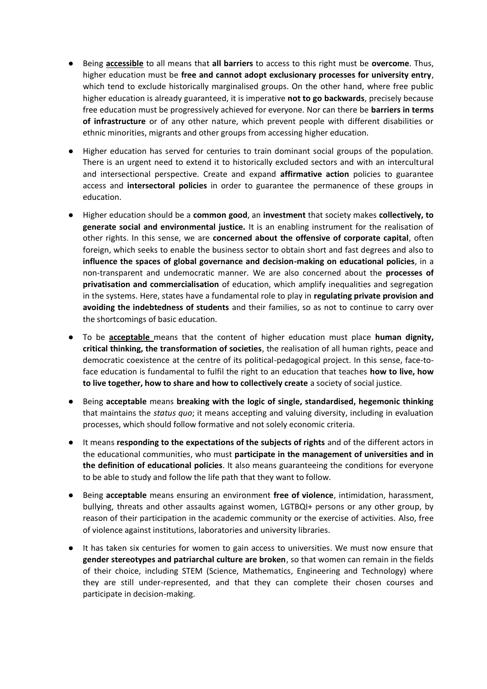- Being **accessible** to all means that **all barriers** to access to this right must be **overcome**. Thus, higher education must be **free and cannot adopt exclusionary processes for university entry**, which tend to exclude historically marginalised groups. On the other hand, where free public higher education is already guaranteed, it is imperative **not to go backwards**, precisely because free education must be progressively achieved for everyone. Nor can there be **barriers in terms of infrastructure** or of any other nature, which prevent people with different disabilities or ethnic minorities, migrants and other groups from accessing higher education.
- Higher education has served for centuries to train dominant social groups of the population. There is an urgent need to extend it to historically excluded sectors and with an intercultural and intersectional perspective. Create and expand **affirmative action** policies to guarantee access and **intersectoral policies** in order to guarantee the permanence of these groups in education.
- Higher education should be a **common good**, an **investment** that society makes **collectively, to generate social and environmental justice.** It is an enabling instrument for the realisation of other rights. In this sense, we are **concerned about the offensive of corporate capital**, often foreign, which seeks to enable the business sector to obtain short and fast degrees and also to **influence the spaces of global governance and decision-making on educational policies**, in a non-transparent and undemocratic manner. We are also concerned about the **processes of privatisation and commercialisation** of education, which amplify inequalities and segregation in the systems. Here, states have a fundamental role to play in **regulating private provision and avoiding the indebtedness of students** and their families, so as not to continue to carry over the shortcomings of basic education.
- To be **acceptable** means that the content of higher education must place **human dignity, critical thinking, the transformation of societies**, the realisation of all human rights, peace and democratic coexistence at the centre of its political-pedagogical project. In this sense, face-toface education is fundamental to fulfil the right to an education that teaches **how to live, how to live together, how to share and how to collectively create** a society of social justice.
- Being **acceptable** means **breaking with the logic of single, standardised, hegemonic thinking** that maintains the *status quo*; it means accepting and valuing diversity, including in evaluation processes, which should follow formative and not solely economic criteria.
- It means **responding to the expectations of the subjects of rights** and of the different actors in the educational communities, who must **participate in the management of universities and in the definition of educational policies**. It also means guaranteeing the conditions for everyone to be able to study and follow the life path that they want to follow.
- Being **acceptable** means ensuring an environment **free of violence**, intimidation, harassment, bullying, threats and other assaults against women, LGTBQI+ persons or any other group, by reason of their participation in the academic community or the exercise of activities. Also, free of violence against institutions, laboratories and university libraries.
- It has taken six centuries for women to gain access to universities. We must now ensure that **gender stereotypes and patriarchal culture are broken**, so that women can remain in the fields of their choice, including STEM (Science, Mathematics, Engineering and Technology) where they are still under-represented, and that they can complete their chosen courses and participate in decision-making.